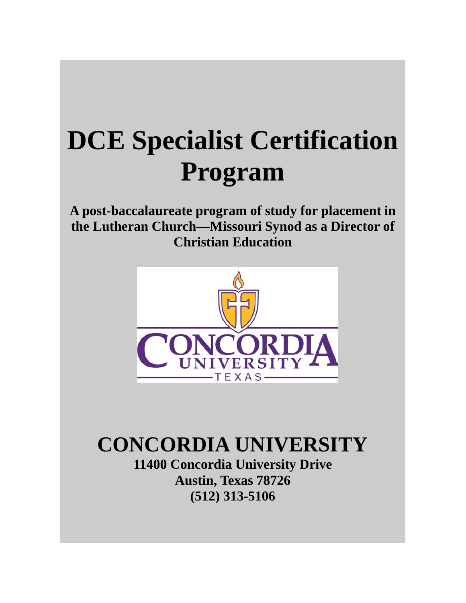# **DCE Specialist Certification Program**

**A post-baccalaureate program of study for placement in the Lutheran Church—Missouri Synod as a Director of Christian Education**



# **CONCORDIA UNIVERSITY 11400 Concordia University Drive Austin, Texas 78726**

**(512) 313-5106**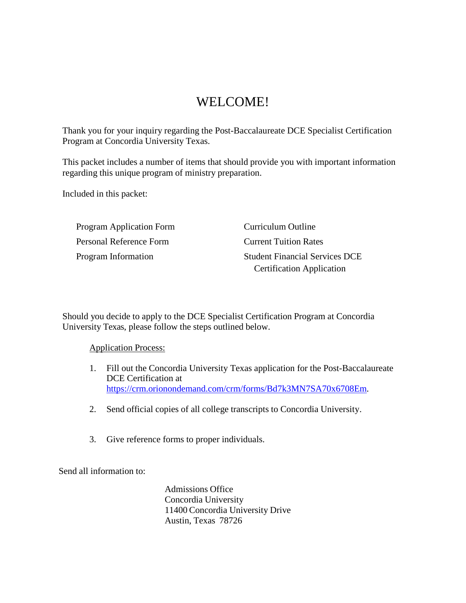# WELCOME!

Thank you for your inquiry regarding the Post-Baccalaureate DCE Specialist Certification Program at Concordia University Texas.

This packet includes a number of items that should provide you with important information regarding this unique program of ministry preparation.

Included in this packet:

Program Application Form Personal Reference Form Program Information

Curriculum Outline Current Tuition Rates Student Financial Services DCE Certification Application

Should you decide to apply to the DCE Specialist Certification Program at Concordia University Texas, please follow the steps outlined below.

Application Process:

- 1. Fill out the Concordia University Texas application for the Post-Baccalaureate DCE Certification at https://crm.orionondemand.com/crm/forms/Bd7k3MN7SA70x6708Em.
- 2. Send official copies of all college transcripts to Concordia University.
- 3. Give reference forms to proper individuals.

Send all information to:

Admissions Office Concordia University 11400 Concordia University Drive Austin, Texas 78726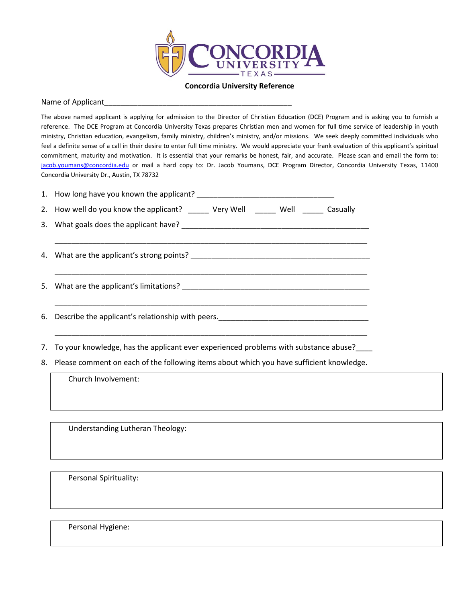

**Concordia University Reference**

#### Name of Applicant

The above named applicant is applying for admission to the Director of Christian Education (DCE) Program and is asking you to furnish a reference. The DCE Program at Concordia University Texas prepares Christian men and women for full time service of leadership in youth ministry, Christian education, evangelism, family ministry, children's ministry, and/or missions. We seek deeply committed individuals who feel a definite sense of a call in their desire to enter full time ministry. We would appreciate your frank evaluation of this applicant's spiritual commitment, maturity and motivation. It is essential that your remarks be honest, fair, and accurate. Please scan and email the form to: jacob.youmans@concordia.edu or mail a hard copy to: Dr. Jacob Youmans, DCE Program Director, Concordia University Texas, 11400 Concordia University Dr., Austin, TX 78732

| 2. How well do you know the applicant? ______ Very Well ______ Well ______ Casually      |
|------------------------------------------------------------------------------------------|
|                                                                                          |
|                                                                                          |
|                                                                                          |
|                                                                                          |
| 7. To your knowledge, has the applicant ever experienced problems with substance abuse?  |
| Process comment on each of the following items about which you have sufficient knowledge |

8. Please comment on each of the following items about which you have sufficient knowledge.

Church Involvement:

Understanding Lutheran Theology:

Personal Spirituality:

Personal Hygiene: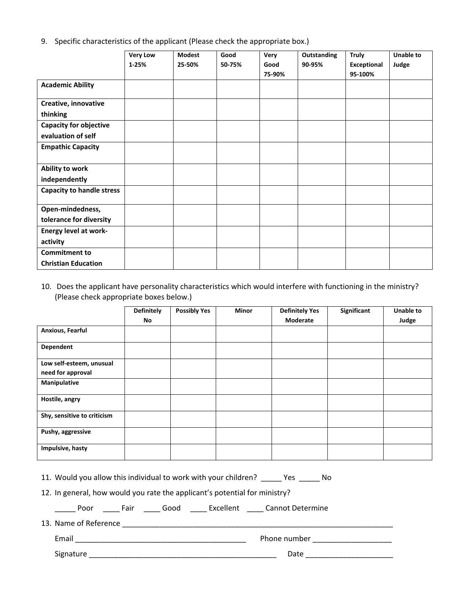|  |  | 9. Specific characteristics of the applicant (Please check the appropriate box.) |  |
|--|--|----------------------------------------------------------------------------------|--|
|  |  |                                                                                  |  |

|                                  | <b>Very Low</b> | <b>Modest</b> | Good   | Very   | Outstanding | <b>Truly</b> | <b>Unable to</b> |
|----------------------------------|-----------------|---------------|--------|--------|-------------|--------------|------------------|
|                                  | $1 - 25%$       | 25-50%        | 50-75% | Good   | 90-95%      | Exceptional  | Judge            |
|                                  |                 |               |        | 75-90% |             | 95-100%      |                  |
| <b>Academic Ability</b>          |                 |               |        |        |             |              |                  |
| Creative, innovative             |                 |               |        |        |             |              |                  |
| thinking                         |                 |               |        |        |             |              |                  |
| <b>Capacity for objective</b>    |                 |               |        |        |             |              |                  |
| evaluation of self               |                 |               |        |        |             |              |                  |
| <b>Empathic Capacity</b>         |                 |               |        |        |             |              |                  |
|                                  |                 |               |        |        |             |              |                  |
| Ability to work                  |                 |               |        |        |             |              |                  |
| independently                    |                 |               |        |        |             |              |                  |
| <b>Capacity to handle stress</b> |                 |               |        |        |             |              |                  |
|                                  |                 |               |        |        |             |              |                  |
| Open-mindedness,                 |                 |               |        |        |             |              |                  |
| tolerance for diversity          |                 |               |        |        |             |              |                  |
| <b>Energy level at work-</b>     |                 |               |        |        |             |              |                  |
| activity                         |                 |               |        |        |             |              |                  |
| <b>Commitment to</b>             |                 |               |        |        |             |              |                  |
| <b>Christian Education</b>       |                 |               |        |        |             |              |                  |

#### 10. Does the applicant have personality characteristics which would interfere with functioning in the ministry? (Please check appropriate boxes below.)

|                             | <b>Definitely</b> | <b>Possibly Yes</b> | <b>Minor</b> | <b>Definitely Yes</b> | Significant | <b>Unable to</b> |
|-----------------------------|-------------------|---------------------|--------------|-----------------------|-------------|------------------|
|                             | No                |                     |              | Moderate              |             | Judge            |
| Anxious, Fearful            |                   |                     |              |                       |             |                  |
| Dependent                   |                   |                     |              |                       |             |                  |
| Low self-esteem, unusual    |                   |                     |              |                       |             |                  |
| need for approval           |                   |                     |              |                       |             |                  |
| Manipulative                |                   |                     |              |                       |             |                  |
| Hostile, angry              |                   |                     |              |                       |             |                  |
| Shy, sensitive to criticism |                   |                     |              |                       |             |                  |
| Pushy, aggressive           |                   |                     |              |                       |             |                  |
| Impulsive, hasty            |                   |                     |              |                       |             |                  |

11. Would you allow this individual to work with your children? \_\_\_\_\_ Yes \_\_\_\_\_ No

12. In general, how would you rate the applicant's potential for ministry?

\_\_\_\_\_ Poor \_\_\_\_ Fair \_\_\_\_ Good \_\_\_\_ Excellent \_\_\_\_ Cannot Determine

13. Name of Reference \_\_\_\_\_\_\_\_\_\_\_\_\_\_\_\_\_\_\_\_\_\_\_\_\_\_\_\_\_\_\_\_\_\_\_\_\_\_\_\_\_\_\_\_\_\_\_\_\_\_\_\_\_\_\_\_\_\_\_\_\_\_\_\_\_

Email \_\_\_\_\_\_\_\_\_\_\_\_\_\_\_\_\_\_\_\_\_\_\_\_\_\_\_\_\_\_\_\_\_\_\_\_\_\_\_\_\_ Phone number \_\_\_\_\_\_\_\_\_\_\_\_\_\_\_\_\_\_\_

Signature \_\_\_\_\_\_\_\_\_\_\_\_\_\_\_\_\_\_\_\_\_\_\_\_\_\_\_\_\_\_\_\_\_\_\_\_\_\_\_\_\_\_\_\_\_ Date \_\_\_\_\_\_\_\_\_\_\_\_\_\_\_\_\_\_\_\_\_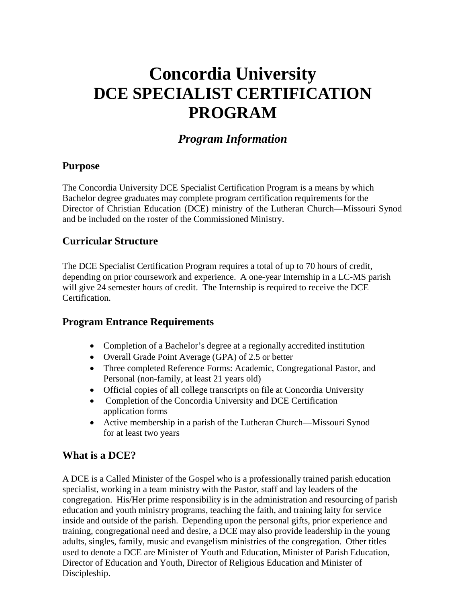# **Concordia University DCE SPECIALIST CERTIFICATION PROGRAM**

# *Program Information*

# **Purpose**

The Concordia University DCE Specialist Certification Program is a means by which Bachelor degree graduates may complete program certification requirements for the Director of Christian Education (DCE) ministry of the Lutheran Church—Missouri Synod and be included on the roster of the Commissioned Ministry.

### **Curricular Structure**

The DCE Specialist Certification Program requires a total of up to 70 hours of credit, depending on prior coursework and experience. A one-year Internship in a LC-MS parish will give 24 semester hours of credit. The Internship is required to receive the DCE Certification.

# **Program Entrance Requirements**

- Completion of a Bachelor's degree at a regionally accredited institution
- Overall Grade Point Average (GPA) of 2.5 or better
- Three completed Reference Forms: Academic, Congregational Pastor, and Personal (non-family, at least 21 years old)
- Official copies of all college transcripts on file at Concordia University
- Completion of the Concordia University and DCE Certification application forms
- Active membership in a parish of the Lutheran Church—Missouri Synod for at least two years

# **What is a DCE?**

A DCE is a Called Minister of the Gospel who is a professionally trained parish education specialist, working in a team ministry with the Pastor, staff and lay leaders of the congregation. His/Her prime responsibility is in the administration and resourcing of parish education and youth ministry programs, teaching the faith, and training laity for service inside and outside of the parish. Depending upon the personal gifts, prior experience and training, congregational need and desire, a DCE may also provide leadership in the young adults, singles, family, music and evangelism ministries of the congregation. Other titles used to denote a DCE are Minister of Youth and Education, Minister of Parish Education, Director of Education and Youth, Director of Religious Education and Minister of Discipleship.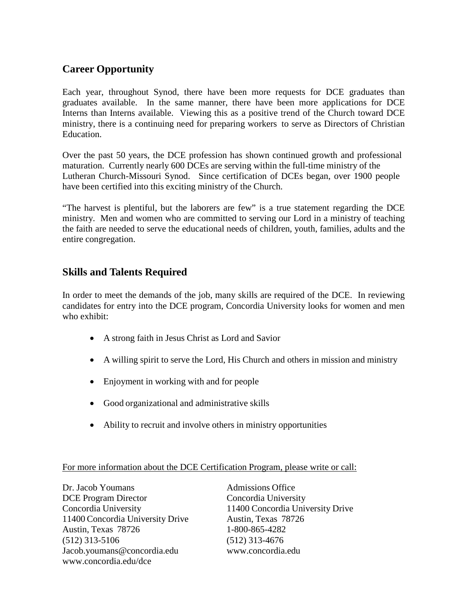# **Career Opportunity**

Each year, throughout Synod, there have been more requests for DCE graduates than graduates available. In the same manner, there have been more applications for DCE Interns than Interns available. Viewing this as a positive trend of the Church toward DCE ministry, there is a continuing need for preparing workers to serve as Directors of Christian Education.

Over the past 50 years, the DCE profession has shown continued growth and professional maturation. Currently nearly 600 DCEs are serving within the full-time ministry of the Lutheran Church-Missouri Synod. Since certification of DCEs began, over 1900 people have been certified into this exciting ministry of the Church.

"The harvest is plentiful, but the laborers are few" is a true statement regarding the DCE ministry. Men and women who are committed to serving our Lord in a ministry of teaching the faith are needed to serve the educational needs of children, youth, families, adults and the entire congregation.

# **Skills and Talents Required**

In order to meet the demands of the job, many skills are required of the DCE. In reviewing candidates for entry into the DCE program, Concordia University looks for women and men who exhibit:

- A strong faith in Jesus Christ as Lord and Savior
- A willing spirit to serve the Lord, His Church and others in mission and ministry
- Enjoyment in working with and for people
- Good organizational and administrative skills
- Ability to recruit and involve others in ministry opportunities

#### For more information about the DCE Certification Program, please write or call:

Dr. Jacob Youmans Admissions Office DCE Program Director Concordia University 11400 Concordia University Drive Austin, Texas 78726 Austin, Texas 78726 1-800-865-4282 (512) 313-5106 (512) 313-4676 Jacob.youmans@concordia.edu www.concordia.edu www.concordia.edu/dce

Concordia University 11400 Concordia University Drive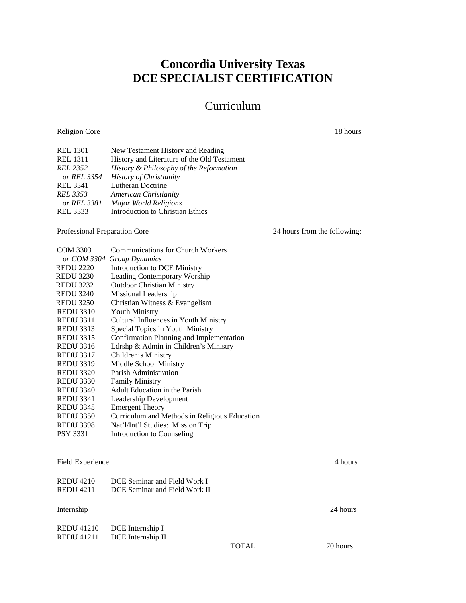# **Concordia University Texas DCE SPECIALIST CERTIFICATION**

# Curriculum

Religion Core 18 hours and 18 hours and 18 hours and 18 hours and 18 hours and 18 hours and 18 hours and 18 hours and 18 hours and 18 hours and 18 hours and 18 hours and 18 hours and 18 hours and 18 hours and 18 hours and REL 1301 New Testament History and Reading REL 1311 History and Literature of the Old Testament *REL 2352 History & Philosophy of the Reformation or REL 3354 History of Christianity*  REL 3341 Lutheran Doctrine *REL 3353 American Christianity or REL 3381 Major World Religions* REL 3333 Introduction to Christian Ethics Professional Preparation Core 24 hours from the following: COM 3303 Communications for Church Workers *or COM 3304 Group Dynamics* REDU 2220 Introduction to DCE Ministry REDU 3230 Leading Contemporary Worship REDU 3232 Outdoor Christian Ministry REDU 3240 Missional Leadership REDU 3250 Christian Witness & Evangelism REDU 3310 Youth Ministry REDU 3311 Cultural Influences in Youth Ministry REDU 3313 Special Topics in Youth Ministry REDU 3315 Confirmation Planning and Implementation REDU 3316 Ldrshp & Admin in Children's Ministry REDU 3317 Children's Ministry REDU 3319 Middle School Ministry REDU 3320 Parish Administration

- REDU 3330 Family Ministry
- REDU 3340 Adult Education in the Parish
- REDU 3341 Leadership Development REDU 3345 Emergent Theory REDU 3350 Curriculum and Methods in Religious Education REDU 3398 Nat'l/Int'l Studies: Mission Trip PSY 3331 Introduction to Counseling

#### Field Experience 4 hours 4 hours

| <b>REDU 4210</b> | DCE Seminar and Field Work I  |
|------------------|-------------------------------|
| <b>REDU 4211</b> | DCE Seminar and Field Work II |

#### Internship 24 hours and 24 hours and 24 hours and 24 hours and 24 hours and 24 hours and 24 hours and 24 hours

REDU 41210 DCE Internship I REDU 41211 DCE Internship II

TOTAL 70 hours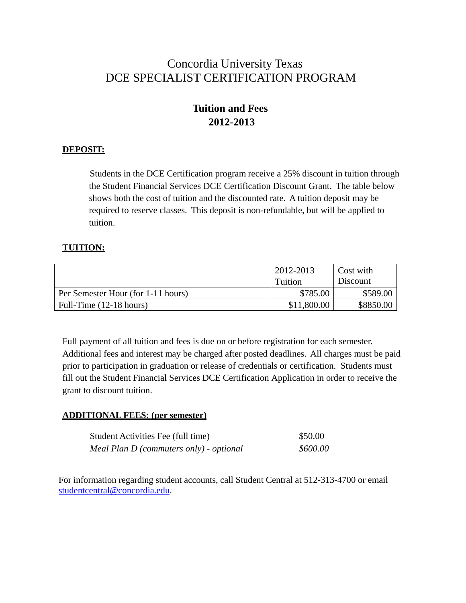# Concordia University Texas DCE SPECIALIST CERTIFICATION PROGRAM

# **Tuition and Fees 2012-2013**

#### **DEPOSIT:**

Students in the DCE Certification program receive a 25% discount in tuition through the Student Financial Services DCE Certification Discount Grant. The table below shows both the cost of tuition and the discounted rate. A tuition deposit may be required to reserve classes. This deposit is non-refundable, but will be applied to tuition.

#### **TUITION:**

|                                    | 2012-2013   | Cost with |
|------------------------------------|-------------|-----------|
|                                    | Tuition     | Discount  |
| Per Semester Hour (for 1-11 hours) | \$785.00    | \$589.00  |
| Full-Time $(12-18 \text{ hours})$  | \$11,800.00 | \$8850.00 |

Full payment of all tuition and fees is due on or before registration for each semester. Additional fees and interest may be charged after posted deadlines. All charges must be paid prior to participation in graduation or release of credentials or certification. Students must fill out the Student Financial Services DCE Certification Application in order to receive the grant to discount tuition.

#### **ADDITIONAL FEES: (per semester)**

| Student Activities Fee (full time)      | \$50.00  |
|-----------------------------------------|----------|
| Meal Plan D (commuters only) - optional | \$600.00 |

For information regarding student accounts, call Student Central at 512-313-4700 or email studentcentral@concordia.edu.